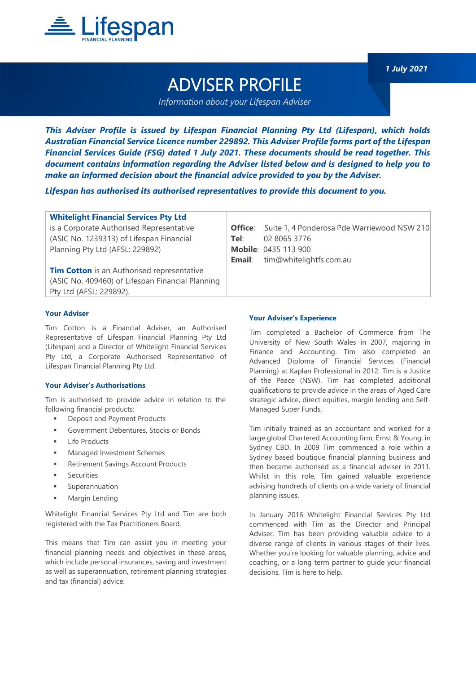

ADVISER PROFILE

*Information about your Lifespan Adviser*

*This Adviser Profile is issued by Lifespan Financial Planning Pty Ltd (Lifespan), which holds Australian Financial Service Licence number 229892. This Adviser Profile forms part of the Lifespan Financial Services Guide (FSG) dated 1 July 2021. These documents should be read together. This document contains information regarding the Adviser listed below and is designed to help you to make an informed decision about the financial advice provided to you by the Adviser.*

*Lifespan has authorised its authorised representatives to provide this document to you.*

| <b>Whitelight Financial Services Pty Ltd</b>      |      |                                                            |
|---------------------------------------------------|------|------------------------------------------------------------|
| is a Corporate Authorised Representative          |      | <b>Office:</b> Suite 1, 4 Ponderosa Pde Warriewood NSW 210 |
| (ASIC No. 1239313) of Lifespan Financial          | Tel: | 02 8065 3776                                               |
| Planning Pty Ltd (AFSL: 229892)                   |      | <b>Mobile: 0435 113 900</b>                                |
|                                                   |      | <b>Email:</b> tim@whitelightfs.com.au                      |
| <b>Tim Cotton</b> is an Authorised representative |      |                                                            |
| (ASIC No. 409460) of Lifespan Financial Planning  |      |                                                            |
| Pty Ltd (AFSL: 229892).                           |      |                                                            |
|                                                   |      |                                                            |

# **Your Adviser**

Tim Cotton is a Financial Adviser, an Authorised Representative of Lifespan Financial Planning Pty Ltd (Lifespan) and a Director of Whitelight Financial Services Pty Ltd, a Corporate Authorised Representative of Lifespan Financial Planning Pty Ltd.

## **Your Adviser's Authorisations**

Tim is authorised to provide advice in relation to the following financial products:

- **■** Deposit and Payment Products
- Government Debentures, Stocks or Bonds
- **Life Products**
- Managed Investment Schemes
- Retirement Savings Account Products
- **Securities**
- Superannuation
- **■** Margin Lending

Whitelight Financial Services Pty Ltd and Tim are both registered with the Tax Practitioners Board.

This means that Tim can assist you in meeting your financial planning needs and objectives in these areas, which include personal insurances, saving and investment as well as superannuation, retirement planning strategies and tax (financial) advice.

#### **Your Adviser's Experience**

Tim completed a Bachelor of Commerce from The University of New South Wales in 2007, majoring in Finance and Accounting. Tim also completed an Advanced Diploma of Financial Services (Financial Planning) at Kaplan Professional in 2012. Tim is a Justice of the Peace (NSW). Tim has completed additional qualifications to provide advice in the areas of Aged Care strategic advice, direct equities, margin lending and Self-Managed Super Funds.

Tim initially trained as an accountant and worked for a large global Chartered Accounting firm, Ernst & Young, in Sydney CBD. In 2009 Tim commenced a role within a Sydney based boutique financial planning business and then became authorised as a financial adviser in 2011. Whilst in this role, Tim gained valuable experience advising hundreds of clients on a wide variety of financial planning issues.

In January 2016 Whitelight Financial Services Pty Ltd commenced with Tim as the Director and Principal Adviser. Tim has been providing valuable advice to a diverse range of clients in various stages of their lives. Whether you're looking for valuable planning, advice and coaching, or a long term partner to guide your financial decisions, Tim is here to help.